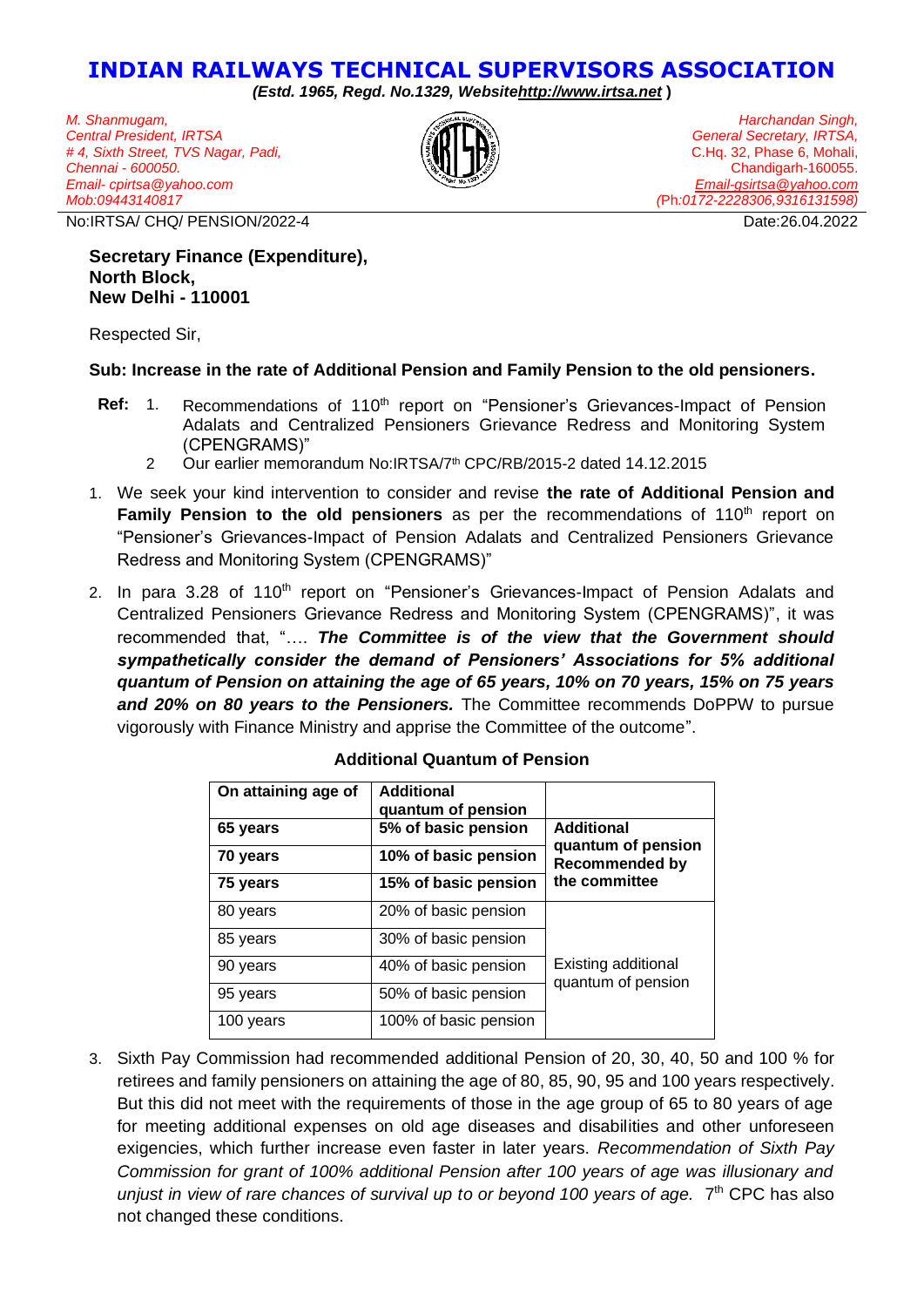## **INDIAN RAILWAYS TECHNICAL SUPERVISORS ASSOCIATION**

*(Estd. 1965, Regd. No.1329, Websit[ehttp://www.irtsa.net](http://www.irtsa.net/)* **)**

*M. Shanmugam, Central President, IRTSA # 4, Sixth Street, TVS Nagar, Padi, Chennai - 600050. Email- cpirtsa@yahoo.com Mob:09443140817*



*Harchandan Singh, General Secretary, IRTSA,* C.Hq. 32, Phase 6, Mohali, Chandigarh-160055. *[Email-gsirtsa@yahoo.com](mailto:Email-gsirtsa@yahoo.com) (*Ph*:0172-2228306,9316131598)*

No:IRTSA/ CHQ/ PENSION/2022-4 Date:26.04.2022

**Secretary Finance (Expenditure), North Block, New Delhi - 110001**

Respected Sir,

## **Sub: Increase in the rate of Additional Pension and Family Pension to the old pensioners.**

- Ref: 1. Recommendations of 110<sup>th</sup> report on "Pensioner's Grievances-Impact of Pension Adalats and Centralized Pensioners Grievance Redress and Monitoring System (CPENGRAMS)"
	- 2 Our earlier memorandum No:IRTSA/7<sup>th</sup> CPC/RB/2015-2 dated 14.12.2015
- 1. We seek your kind intervention to consider and revise **the rate of Additional Pension and Family Pension to the old pensioners** as per the recommendations of 110<sup>th</sup> report on "Pensioner's Grievances-Impact of Pension Adalats and Centralized Pensioners Grievance Redress and Monitoring System (CPENGRAMS)"
- 2. In para 3.28 of 110<sup>th</sup> report on "Pensioner's Grievances-Impact of Pension Adalats and Centralized Pensioners Grievance Redress and Monitoring System (CPENGRAMS)", it was recommended that, "…. *The Committee is of the view that the Government should sympathetically consider the demand of Pensioners' Associations for 5% additional quantum of Pension on attaining the age of 65 years, 10% on 70 years, 15% on 75 years and 20% on 80 years to the Pensioners.* The Committee recommends DoPPW to pursue vigorously with Finance Ministry and apprise the Committee of the outcome".

| On attaining age of | Additional<br>quantum of pension |                                             |
|---------------------|----------------------------------|---------------------------------------------|
| 65 years            | 5% of basic pension              | <b>Additional</b>                           |
| 70 years            | 10% of basic pension             | quantum of pension<br><b>Recommended by</b> |
| 75 years            | 15% of basic pension             | the committee                               |
| 80 years            | 20% of basic pension             | Existing additional<br>quantum of pension   |
| 85 years            | 30% of basic pension             |                                             |
| 90 years            | 40% of basic pension             |                                             |
| 95 years            | 50% of basic pension             |                                             |
| 100 years           | 100% of basic pension            |                                             |

## **Additional Quantum of Pension**

3. Sixth Pay Commission had recommended additional Pension of 20, 30, 40, 50 and 100 % for retirees and family pensioners on attaining the age of 80, 85, 90, 95 and 100 years respectively. But this did not meet with the requirements of those in the age group of 65 to 80 years of age for meeting additional expenses on old age diseases and disabilities and other unforeseen exigencies, which further increase even faster in later years. *Recommendation of Sixth Pay Commission for grant of 100% additional Pension after 100 years of age was illusionary and*  unjust in view of rare chances of survival up to or beyond 100 years of age. 7<sup>th</sup> CPC has also not changed these conditions.